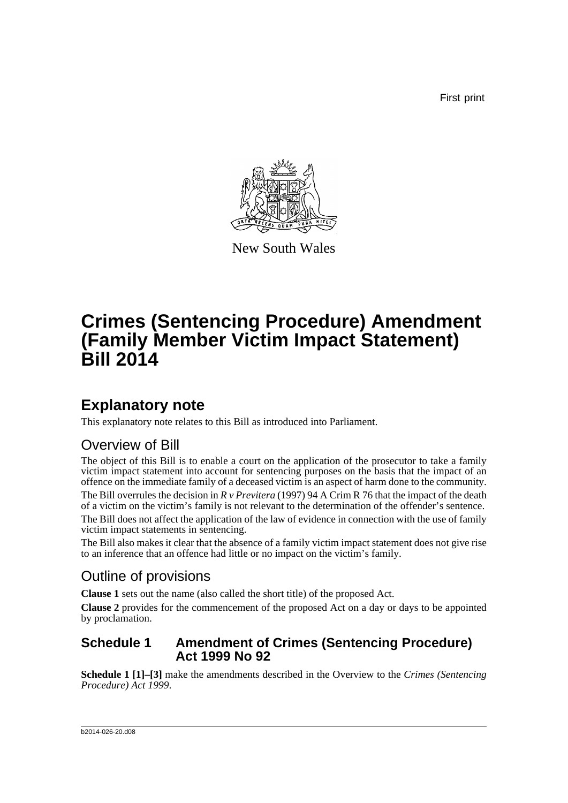First print



New South Wales

# **Crimes (Sentencing Procedure) Amendment (Family Member Victim Impact Statement) Bill 2014**

## **Explanatory note**

This explanatory note relates to this Bill as introduced into Parliament.

### Overview of Bill

The object of this Bill is to enable a court on the application of the prosecutor to take a family victim impact statement into account for sentencing purposes on the basis that the impact of an offence on the immediate family of a deceased victim is an aspect of harm done to the community. The Bill overrules the decision in *R v Previtera* (1997) 94 A Crim R 76 that the impact of the death of a victim on the victim's family is not relevant to the determination of the offender's sentence.

The Bill does not affect the application of the law of evidence in connection with the use of family victim impact statements in sentencing.

The Bill also makes it clear that the absence of a family victim impact statement does not give rise to an inference that an offence had little or no impact on the victim's family.

### Outline of provisions

**Clause 1** sets out the name (also called the short title) of the proposed Act.

**Clause 2** provides for the commencement of the proposed Act on a day or days to be appointed by proclamation.

#### **Schedule 1 Amendment of Crimes (Sentencing Procedure) Act 1999 No 92**

**Schedule 1 [1]–[3]** make the amendments described in the Overview to the *Crimes (Sentencing Procedure) Act 1999*.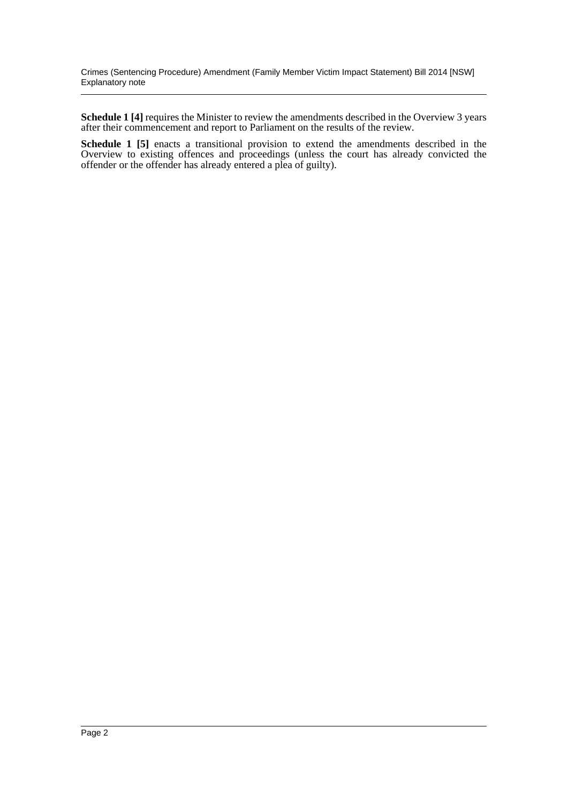Crimes (Sentencing Procedure) Amendment (Family Member Victim Impact Statement) Bill 2014 [NSW] Explanatory note

**Schedule 1 [4]** requires the Minister to review the amendments described in the Overview 3 years after their commencement and report to Parliament on the results of the review.

**Schedule 1 [5]** enacts a transitional provision to extend the amendments described in the Overview to existing offences and proceedings (unless the court has already convicted the offender or the offender has already entered a plea of guilty).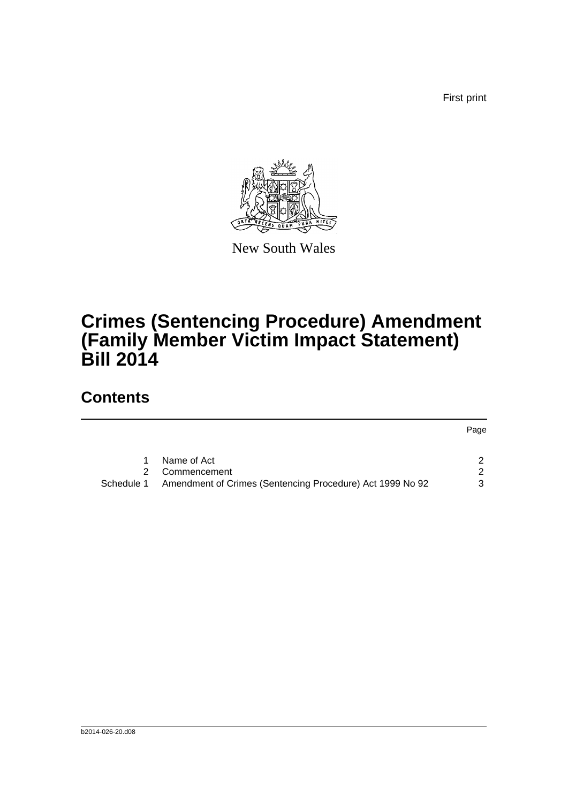First print

Page



New South Wales

## **Crimes (Sentencing Procedure) Amendment (Family Member Victim Impact Statement) Bill 2014**

### **Contents**

| Name of Act                                                             |   |
|-------------------------------------------------------------------------|---|
| Commencement                                                            |   |
| Amendment of Crimes (Sentencing Procedure) Act 1999 No 92<br>Schedule 1 | 3 |
|                                                                         |   |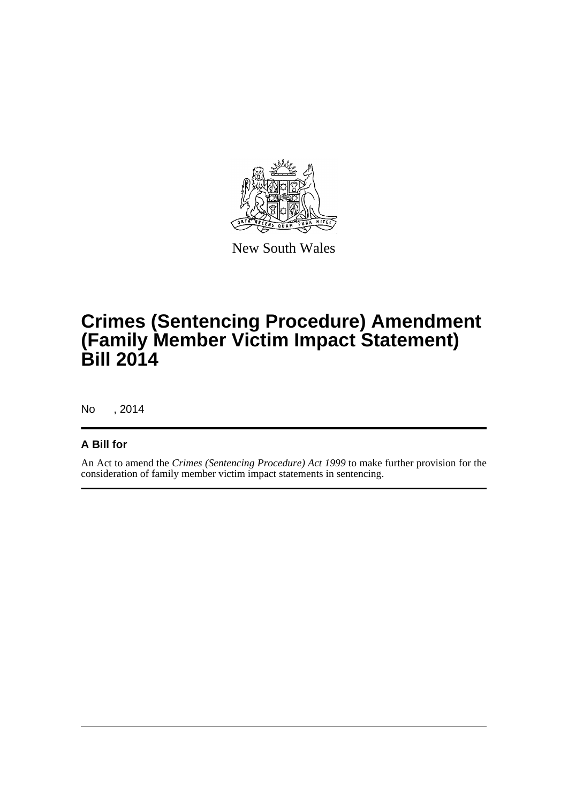

New South Wales

## **Crimes (Sentencing Procedure) Amendment (Family Member Victim Impact Statement) Bill 2014**

No , 2014

#### **A Bill for**

An Act to amend the *Crimes (Sentencing Procedure) Act 1999* to make further provision for the consideration of family member victim impact statements in sentencing.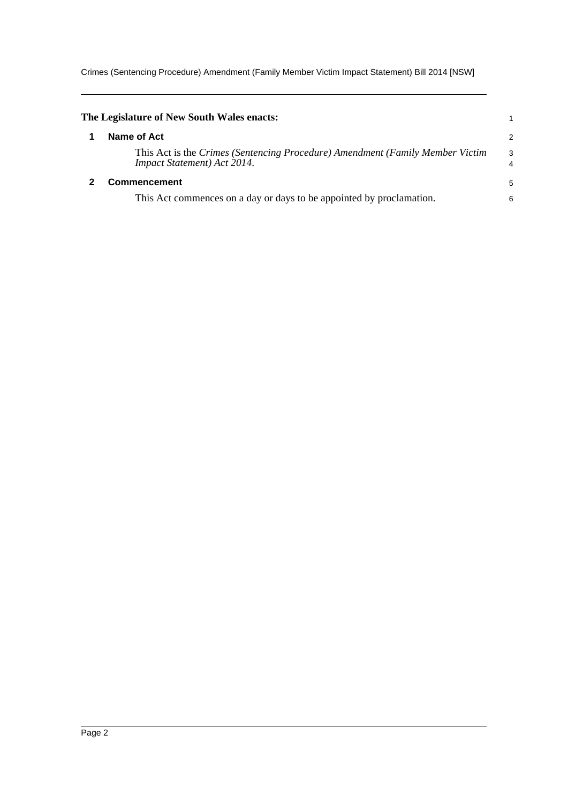Crimes (Sentencing Procedure) Amendment (Family Member Victim Impact Statement) Bill 2014 [NSW]

<span id="page-4-1"></span><span id="page-4-0"></span>

| The Legislature of New South Wales enacts:                                                                   |                     |
|--------------------------------------------------------------------------------------------------------------|---------------------|
| Name of Act                                                                                                  | $\overline{2}$      |
| This Act is the Crimes (Sentencing Procedure) Amendment (Family Member Victim<br>Impact Statement) Act 2014. | 3<br>$\overline{4}$ |
| <b>Commencement</b>                                                                                          | 5                   |
| This Act commences on a day or days to be appointed by proclamation.                                         | 6                   |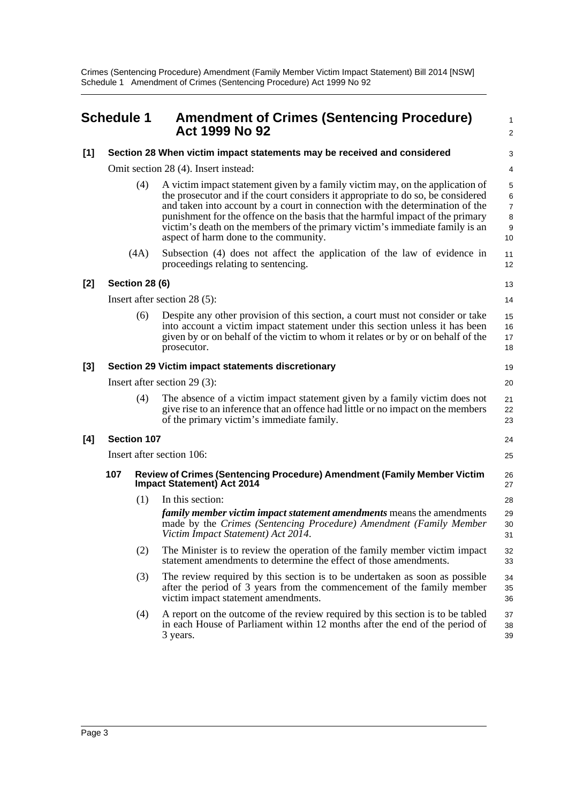Crimes (Sentencing Procedure) Amendment (Family Member Victim Impact Statement) Bill 2014 [NSW] Schedule 1 Amendment of Crimes (Sentencing Procedure) Act 1999 No 92

<span id="page-5-0"></span>

|       | <b>Schedule 1</b>                                 |                       | <b>Amendment of Crimes (Sentencing Procedure)</b><br>Act 1999 No 92                                                                                                                                                                                                                                                                                                                                                                                           | $\mathbf{1}$<br>2                        |
|-------|---------------------------------------------------|-----------------------|---------------------------------------------------------------------------------------------------------------------------------------------------------------------------------------------------------------------------------------------------------------------------------------------------------------------------------------------------------------------------------------------------------------------------------------------------------------|------------------------------------------|
| $[1]$ |                                                   |                       | Section 28 When victim impact statements may be received and considered                                                                                                                                                                                                                                                                                                                                                                                       | 3                                        |
|       |                                                   |                       | Omit section 28 (4). Insert instead:                                                                                                                                                                                                                                                                                                                                                                                                                          | 4                                        |
|       |                                                   | (4)                   | A victim impact statement given by a family victim may, on the application of<br>the prosecutor and if the court considers it appropriate to do so, be considered<br>and taken into account by a court in connection with the determination of the<br>punishment for the offence on the basis that the harmful impact of the primary<br>victim's death on the members of the primary victim's immediate family is an<br>aspect of harm done to the community. | 5<br>6<br>$\overline{7}$<br>8<br>9<br>10 |
|       |                                                   | (4A)                  | Subsection (4) does not affect the application of the law of evidence in<br>proceedings relating to sentencing.                                                                                                                                                                                                                                                                                                                                               | 11<br>12                                 |
| $[2]$ |                                                   | <b>Section 28 (6)</b> |                                                                                                                                                                                                                                                                                                                                                                                                                                                               | 13                                       |
|       |                                                   |                       | Insert after section 28 (5):                                                                                                                                                                                                                                                                                                                                                                                                                                  | 14                                       |
|       |                                                   | (6)                   | Despite any other provision of this section, a court must not consider or take<br>into account a victim impact statement under this section unless it has been<br>given by or on behalf of the victim to whom it relates or by or on behalf of the<br>prosecutor.                                                                                                                                                                                             | 15<br>16<br>17<br>18                     |
| [3]   | Section 29 Victim impact statements discretionary |                       |                                                                                                                                                                                                                                                                                                                                                                                                                                                               | 19                                       |
|       | Insert after section $29(3)$ :                    |                       |                                                                                                                                                                                                                                                                                                                                                                                                                                                               | 20                                       |
|       |                                                   | (4)                   | The absence of a victim impact statement given by a family victim does not<br>give rise to an inference that an offence had little or no impact on the members<br>of the primary victim's immediate family.                                                                                                                                                                                                                                                   | 21<br>22<br>23                           |
| [4]   |                                                   | <b>Section 107</b>    |                                                                                                                                                                                                                                                                                                                                                                                                                                                               | 24                                       |
|       | Insert after section 106:                         |                       |                                                                                                                                                                                                                                                                                                                                                                                                                                                               | 25                                       |
|       | 107                                               |                       | Review of Crimes (Sentencing Procedure) Amendment (Family Member Victim<br><b>Impact Statement) Act 2014</b>                                                                                                                                                                                                                                                                                                                                                  | 26<br>27                                 |
|       |                                                   | (1)                   | In this section:                                                                                                                                                                                                                                                                                                                                                                                                                                              | 28                                       |
|       |                                                   |                       | <i>family member victim impact statement amendments</i> means the amendments<br>made by the Crimes (Sentencing Procedure) Amendment (Family Member<br>Victim Impact Statement) Act 2014.                                                                                                                                                                                                                                                                      | 29<br>30<br>31                           |
|       |                                                   | (2)                   | The Minister is to review the operation of the family member victim impact<br>statement amendments to determine the effect of those amendments.                                                                                                                                                                                                                                                                                                               | 32<br>33                                 |
|       |                                                   | (3)                   | The review required by this section is to be undertaken as soon as possible<br>after the period of 3 years from the commencement of the family member<br>victim impact statement amendments.                                                                                                                                                                                                                                                                  | 34<br>35<br>36                           |
|       |                                                   | (4)                   | A report on the outcome of the review required by this section is to be tabled<br>in each House of Parliament within 12 months after the end of the period of<br>3 years.                                                                                                                                                                                                                                                                                     | 37<br>38<br>39                           |